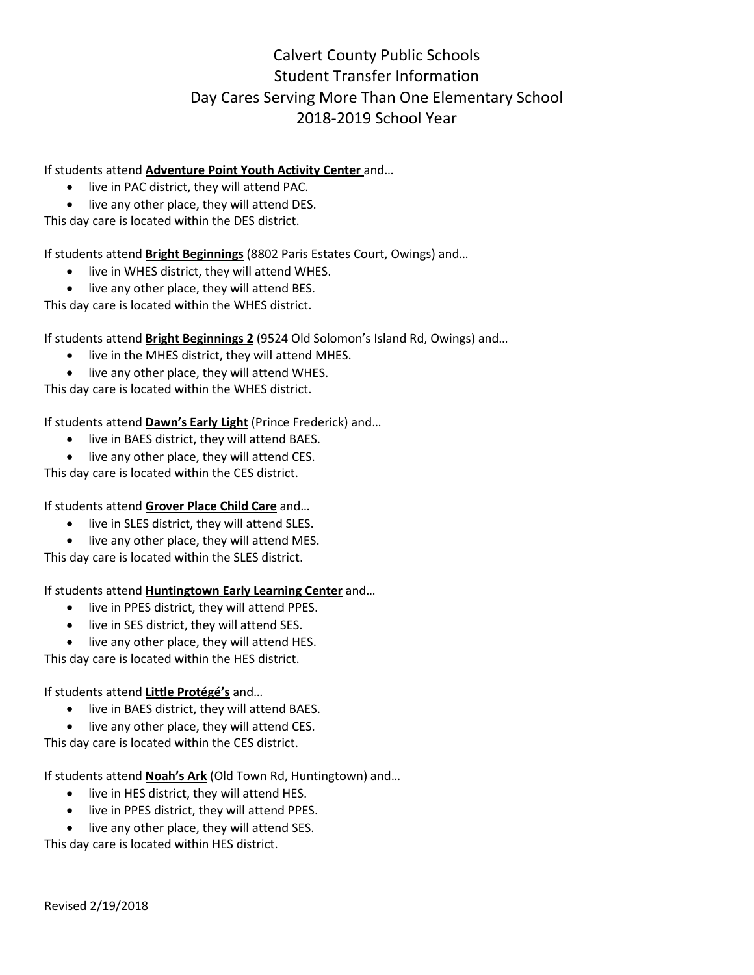## Calvert County Public Schools Student Transfer Information Day Cares Serving More Than One Elementary School 2018-2019 School Year

## If students attend **Adventure Point Youth Activity Center** and…

- live in PAC district, they will attend PAC.
- live any other place, they will attend DES.

This day care is located within the DES district.

If students attend **Bright Beginnings** (8802 Paris Estates Court, Owings) and…

- live in WHES district, they will attend WHES.
- live any other place, they will attend BES.

This day care is located within the WHES district.

If students attend **Bright Beginnings 2** (9524 Old Solomon's Island Rd, Owings) and…

- live in the MHES district, they will attend MHES.
- live any other place, they will attend WHES.

This day care is located within the WHES district.

If students attend **Dawn's Early Light** (Prince Frederick) and…

- live in BAES district, they will attend BAES.
- live any other place, they will attend CES.

This day care is located within the CES district.

## If students attend **Grover Place Child Care** and…

- live in SLES district, they will attend SLES.
- live any other place, they will attend MES.

This day care is located within the SLES district.

If students attend **Huntingtown Early Learning Center** and…

- live in PPES district, they will attend PPES.
- live in SES district, they will attend SES.
- live any other place, they will attend HES.

This day care is located within the HES district.

If students attend **Little Protégé's** and…

- live in BAES district, they will attend BAES.
- live any other place, they will attend CES.

This day care is located within the CES district.

If students attend **Noah's Ark** (Old Town Rd, Huntingtown) and…

- live in HES district, they will attend HES.
- live in PPES district, they will attend PPES.
- live any other place, they will attend SES.

This day care is located within HES district.